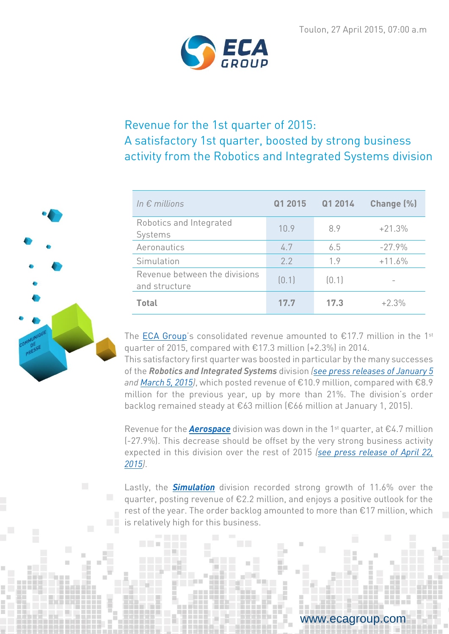

# Revenue for the 1st quarter of 2015: A satisfactory 1st quarter, boosted by strong business activity from the Robotics and Integrated Systems division

| In $\epsilon$ millions                         | Q1 2015 | Q1 2014 | Change (%) |
|------------------------------------------------|---------|---------|------------|
| Robotics and Integrated<br>Systems             | 10.9    | 8.9     | $+21.3%$   |
| Aeronautics                                    | 4.7     | 6.5     | $-27.9%$   |
| Simulation                                     | 2.2     | 1.9     | $+11.6%$   |
| Revenue between the divisions<br>and structure | [0,1]   | [0.1]   |            |
| <b>Total</b>                                   | 17.7    | 17.3    | $+2.3%$    |

The [ECA Group](http://www.ecagroup.com/en/about-us)'s consolidated revenue amounted to  $£17.7$  million in the 1<sup>st</sup> quarter of 2015, compared with €17.3 million (+2.3%) in 2014.

This satisfactory first quarter was boosted in particular by the many successes of the *Robotics and Integrated Systems* division *[\(see press releases of January 5](http://www.ecagroup.com/en/financial/eca-group-announces-winning-its-major-ever-international-order-airborne-drones) and [March 5, 2015\)](http://www.ecagroup.com/en/financial/first-commercial-success-a18-underwater-robot)*, which posted revenue of €10.9 million, compared with €8.9 million for the previous year, up by more than 21%. The division's order backlog remained steady at €63 million (€66 million at January 1, 2015).

Revenue for the *[Aerospace](http://www.ecagroup.com/en/aerospace)* division was down in the 1st quarter, at €4.7 million (-27.9%). This decrease should be offset by the very strong business activity expected in this division over the rest of 2015 *[\(see press release of April 22,](http://www.ecagroup.com/en/financial/eca-groups-aerospace-division-won-major-contract-over-eu10-million)  [2015\)](http://www.ecagroup.com/en/financial/eca-groups-aerospace-division-won-major-contract-over-eu10-million)*.

Lastly, the *[Simulation](http://www.ecagroup.com/en/training-simulation)* division recorded strong growth of 11.6% over the quarter, posting revenue of €2.2 million, and enjoys a positive outlook for the rest of the year. The order backlog amounted to more than €17 million, which is relatively high for this business.



w.ecagroup.com